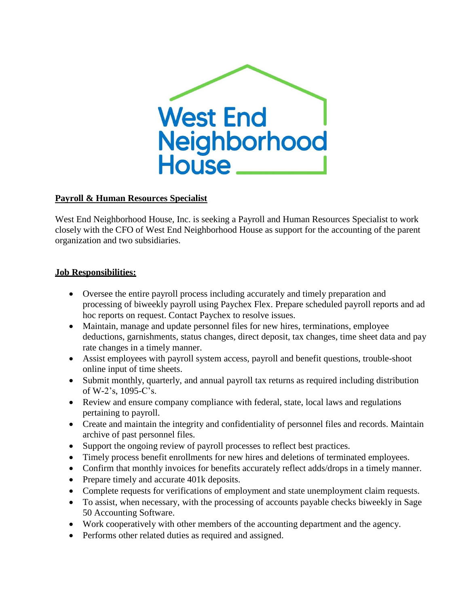

## **Payroll & Human Resources Specialist**

West End Neighborhood House, Inc. is seeking a Payroll and Human Resources Specialist to work closely with the CFO of West End Neighborhood House as support for the accounting of the parent organization and two subsidiaries.

## **Job Responsibilities:**

- Oversee the entire payroll process including accurately and timely preparation and processing of biweekly payroll using Paychex Flex. Prepare scheduled payroll reports and ad hoc reports on request. Contact Paychex to resolve issues.
- Maintain, manage and update personnel files for new hires, terminations, employee deductions, garnishments, status changes, direct deposit, tax changes, time sheet data and pay rate changes in a timely manner.
- Assist employees with payroll system access, payroll and benefit questions, trouble-shoot online input of time sheets.
- Submit monthly, quarterly, and annual payroll tax returns as required including distribution of W-2's, 1095-C's.
- Review and ensure company compliance with federal, state, local laws and regulations pertaining to payroll.
- Create and maintain the integrity and confidentiality of personnel files and records. Maintain archive of past personnel files.
- Support the ongoing review of payroll processes to reflect best practices.
- Timely process benefit enrollments for new hires and deletions of terminated employees.
- Confirm that monthly invoices for benefits accurately reflect adds/drops in a timely manner.
- Prepare timely and accurate 401k deposits.
- Complete requests for verifications of employment and state unemployment claim requests.
- To assist, when necessary, with the processing of accounts payable checks biweekly in Sage 50 Accounting Software.
- Work cooperatively with other members of the accounting department and the agency.
- Performs other related duties as required and assigned.